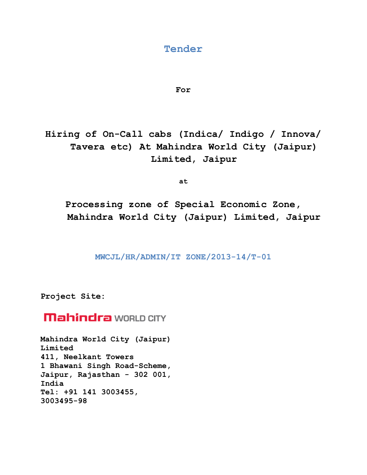### **Tender**

### **For**

**Hiring of On-Call cabs (Indica/ Indigo / Innova/ Tavera etc) At Mahindra World City (Jaipur) Limited, Jaipur**

**at** 

**Processing zone of Special Economic Zone, Mahindra World City (Jaipur) Limited, Jaipur**

**MWCJL/HR/ADMIN/IT ZONE/2013-14/T-01**

**Project Site:** 

# **Mahindra** WORLD CITY

**Mahindra World City (Jaipur) Limited 411, Neelkant Towers 1 Bhawani Singh Road-Scheme, Jaipur, Rajasthan - 302 001, India Tel: +91 141 3003455, 3003495-98**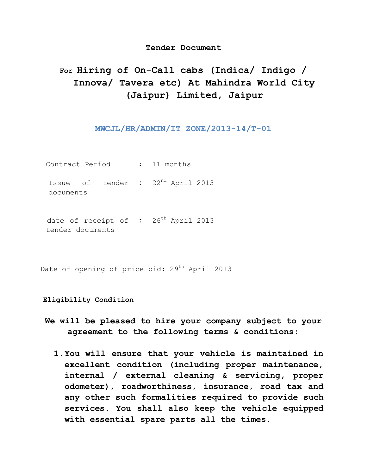### **Tender Document**

## **For Hiring of On-Call cabs (Indica/ Indigo / Innova/ Tavera etc) At Mahindra World City (Jaipur) Limited, Jaipur**

### **MWCJL/HR/ADMIN/IT ZONE/2013-14/T-01**

Contract Period **:** 11 months

Issue of tender **:** 22nd April 2013 documents

date of receipt of : 26<sup>th</sup> April 2013 tender documents

Date of opening of price bid: 29<sup>th</sup> April 2013

### **Eligibility Condition**

- **We will be pleased to hire your company subject to your agreement to the following terms & conditions:** 
	- **1.You will ensure that your vehicle is maintained in excellent condition (including proper maintenance, internal / external cleaning & servicing, proper odometer), roadworthiness, insurance, road tax and any other such formalities required to provide such services. You shall also keep the vehicle equipped with essential spare parts all the times.**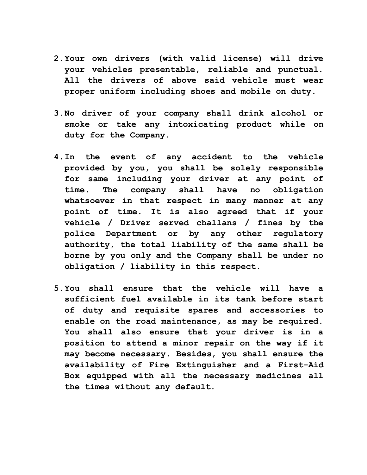- **2.Your own drivers (with valid license) will drive your vehicles presentable, reliable and punctual. All the drivers of above said vehicle must wear proper uniform including shoes and mobile on duty.**
- **3.No driver of your company shall drink alcohol or smoke or take any intoxicating product while on duty for the Company.**
- **4.In the event of any accident to the vehicle provided by you, you shall be solely responsible for same including your driver at any point of time. The company shall have no obligation whatsoever in that respect in many manner at any point of time. It is also agreed that if your vehicle / Driver served challans / fines by the police Department or by any other regulatory authority, the total liability of the same shall be borne by you only and the Company shall be under no obligation / liability in this respect.**
- **5.You shall ensure that the vehicle will have a sufficient fuel available in its tank before start of duty and requisite spares and accessories to enable on the road maintenance, as may be required. You shall also ensure that your driver is in a position to attend a minor repair on the way if it may become necessary. Besides, you shall ensure the availability of Fire Extinguisher and a First-Aid Box equipped with all the necessary medicines all the times without any default.**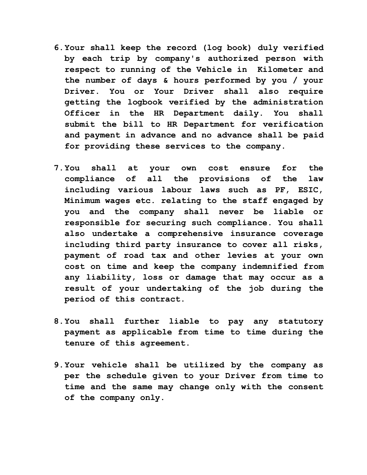- **6.Your shall keep the record (log book) duly verified by each trip by company's authorized person with respect to running of the Vehicle in Kilometer and the number of days & hours performed by you / your Driver. You or Your Driver shall also require getting the logbook verified by the administration Officer in the HR Department daily. You shall submit the bill to HR Department for verification and payment in advance and no advance shall be paid for providing these services to the company.**
- **7.You shall at your own cost ensure for the compliance of all the provisions of the law including various labour laws such as PF, ESIC, Minimum wages etc. relating to the staff engaged by you and the company shall never be liable or responsible for securing such compliance. You shall also undertake a comprehensive insurance coverage including third party insurance to cover all risks, payment of road tax and other levies at your own cost on time and keep the company indemnified from any liability, loss or damage that may occur as a result of your undertaking of the job during the period of this contract.**
- **8.You shall further liable to pay any statutory payment as applicable from time to time during the tenure of this agreement.**
- **9.Your vehicle shall be utilized by the company as per the schedule given to your Driver from time to time and the same may change only with the consent of the company only.**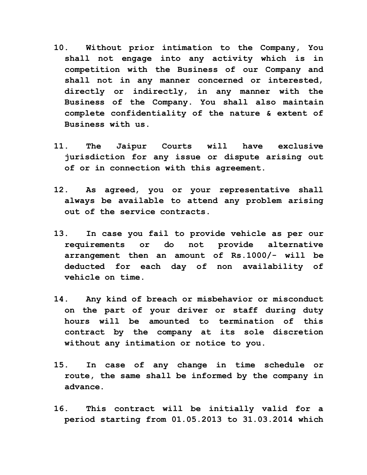- **10. Without prior intimation to the Company, You shall not engage into any activity which is in competition with the Business of our Company and shall not in any manner concerned or interested, directly or indirectly, in any manner with the Business of the Company. You shall also maintain complete confidentiality of the nature & extent of Business with us.**
- **11. The Jaipur Courts will have exclusive jurisdiction for any issue or dispute arising out of or in connection with this agreement.**
- **12. As agreed, you or your representative shall always be available to attend any problem arising out of the service contracts.**
- **13. In case you fail to provide vehicle as per our requirements or do not provide alternative arrangement then an amount of Rs.1000/- will be deducted for each day of non availability of vehicle on time.**
- **14. Any kind of breach or misbehavior or misconduct on the part of your driver or staff during duty hours will be amounted to termination of this contract by the company at its sole discretion without any intimation or notice to you.**
- **15. In case of any change in time schedule or route, the same shall be informed by the company in advance.**
- **16. This contract will be initially valid for a period starting from 01.05.2013 to 31.03.2014 which**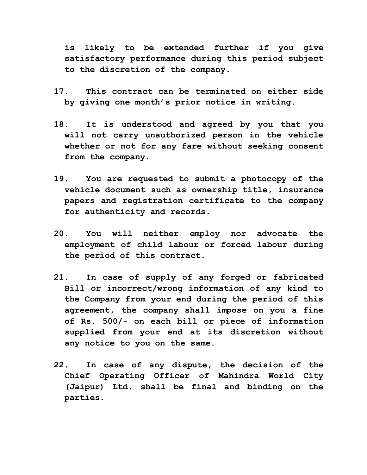**is likely to be extended further if you give satisfactory performance during this period subject to the discretion of the company.** 

- **17. This contract can be terminated on either side by giving one month's prior notice in writing.**
- **18. It is understood and agreed by you that you will not carry unauthorized person in the vehicle whether or not for any fare without seeking consent from the company.**
- **19. You are requested to submit a photocopy of the vehicle document such as ownership title, insurance papers and registration certificate to the company for authenticity and records.**
- **20. You will neither employ nor advocate the employment of child labour or forced labour during the period of this contract.**
- **21. In case of supply of any forged or fabricated Bill or incorrect/wrong information of any kind to the Company from your end during the period of this agreement, the company shall impose on you a fine of Rs. 500/- on each bill or piece of information supplied from your end at its discretion without any notice to you on the same.**
- **22. In case of any dispute, the decision of the Chief Operating Officer of Mahindra World City (Jaipur) Ltd. shall be final and binding on the parties.**